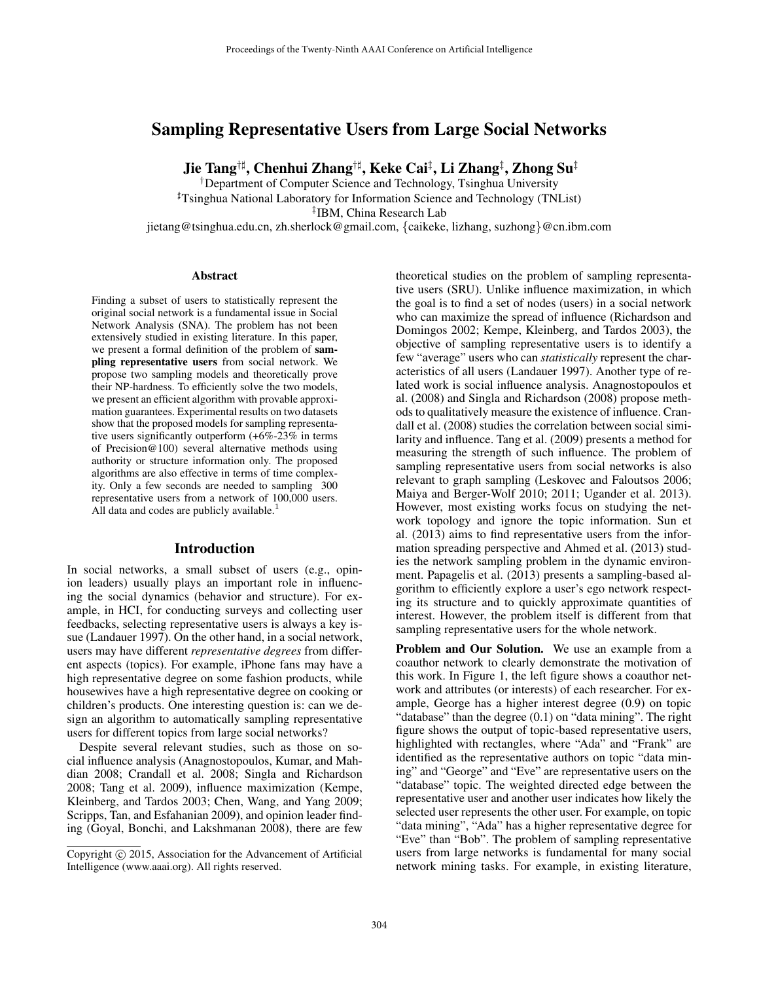# Sampling Representative Users from Large Social Networks

Jie Tang†] , Chenhui Zhang†] , Keke Cai‡ , Li Zhang‡ , Zhong Su‡

†Department of Computer Science and Technology, Tsinghua University ]Tsinghua National Laboratory for Information Science and Technology (TNList) ‡ IBM, China Research Lab jietang@tsinghua.edu.cn, zh.sherlock@gmail.com, {caikeke, lizhang, suzhong}@cn.ibm.com

#### Abstract

Finding a subset of users to statistically represent the original social network is a fundamental issue in Social Network Analysis (SNA). The problem has not been extensively studied in existing literature. In this paper, we present a formal definition of the problem of sampling representative users from social network. We propose two sampling models and theoretically prove their NP-hardness. To efficiently solve the two models, we present an efficient algorithm with provable approximation guarantees. Experimental results on two datasets show that the proposed models for sampling representative users significantly outperform (+6%-23% in terms of Precision@100) several alternative methods using authority or structure information only. The proposed algorithms are also effective in terms of time complexity. Only a few seconds are needed to sampling 300 representative users from a network of 100,000 users. All data and codes are publicly available.<sup>1</sup>

### Introduction

In social networks, a small subset of users (e.g., opinion leaders) usually plays an important role in influencing the social dynamics (behavior and structure). For example, in HCI, for conducting surveys and collecting user feedbacks, selecting representative users is always a key issue (Landauer 1997). On the other hand, in a social network, users may have different *representative degrees* from different aspects (topics). For example, iPhone fans may have a high representative degree on some fashion products, while housewives have a high representative degree on cooking or children's products. One interesting question is: can we design an algorithm to automatically sampling representative users for different topics from large social networks?

Despite several relevant studies, such as those on social influence analysis (Anagnostopoulos, Kumar, and Mahdian 2008; Crandall et al. 2008; Singla and Richardson 2008; Tang et al. 2009), influence maximization (Kempe, Kleinberg, and Tardos 2003; Chen, Wang, and Yang 2009; Scripps, Tan, and Esfahanian 2009), and opinion leader finding (Goyal, Bonchi, and Lakshmanan 2008), there are few

theoretical studies on the problem of sampling representative users (SRU). Unlike influence maximization, in which the goal is to find a set of nodes (users) in a social network who can maximize the spread of influence (Richardson and Domingos 2002; Kempe, Kleinberg, and Tardos 2003), the objective of sampling representative users is to identify a few "average" users who can *statistically* represent the characteristics of all users (Landauer 1997). Another type of related work is social influence analysis. Anagnostopoulos et al. (2008) and Singla and Richardson (2008) propose methods to qualitatively measure the existence of influence. Crandall et al. (2008) studies the correlation between social similarity and influence. Tang et al. (2009) presents a method for measuring the strength of such influence. The problem of sampling representative users from social networks is also relevant to graph sampling (Leskovec and Faloutsos 2006; Maiya and Berger-Wolf 2010; 2011; Ugander et al. 2013). However, most existing works focus on studying the network topology and ignore the topic information. Sun et al. (2013) aims to find representative users from the information spreading perspective and Ahmed et al. (2013) studies the network sampling problem in the dynamic environment. Papagelis et al. (2013) presents a sampling-based algorithm to efficiently explore a user's ego network respecting its structure and to quickly approximate quantities of interest. However, the problem itself is different from that sampling representative users for the whole network.

Problem and Our Solution. We use an example from a coauthor network to clearly demonstrate the motivation of this work. In Figure 1, the left figure shows a coauthor network and attributes (or interests) of each researcher. For example, George has a higher interest degree (0.9) on topic "database" than the degree  $(0.1)$  on "data mining". The right figure shows the output of topic-based representative users, highlighted with rectangles, where "Ada" and "Frank" are identified as the representative authors on topic "data mining" and "George" and "Eve" are representative users on the "database" topic. The weighted directed edge between the representative user and another user indicates how likely the selected user represents the other user. For example, on topic "data mining", "Ada" has a higher representative degree for "Eve" than "Bob". The problem of sampling representative users from large networks is fundamental for many social network mining tasks. For example, in existing literature,

Copyright © 2015, Association for the Advancement of Artificial Intelligence (www.aaai.org). All rights reserved.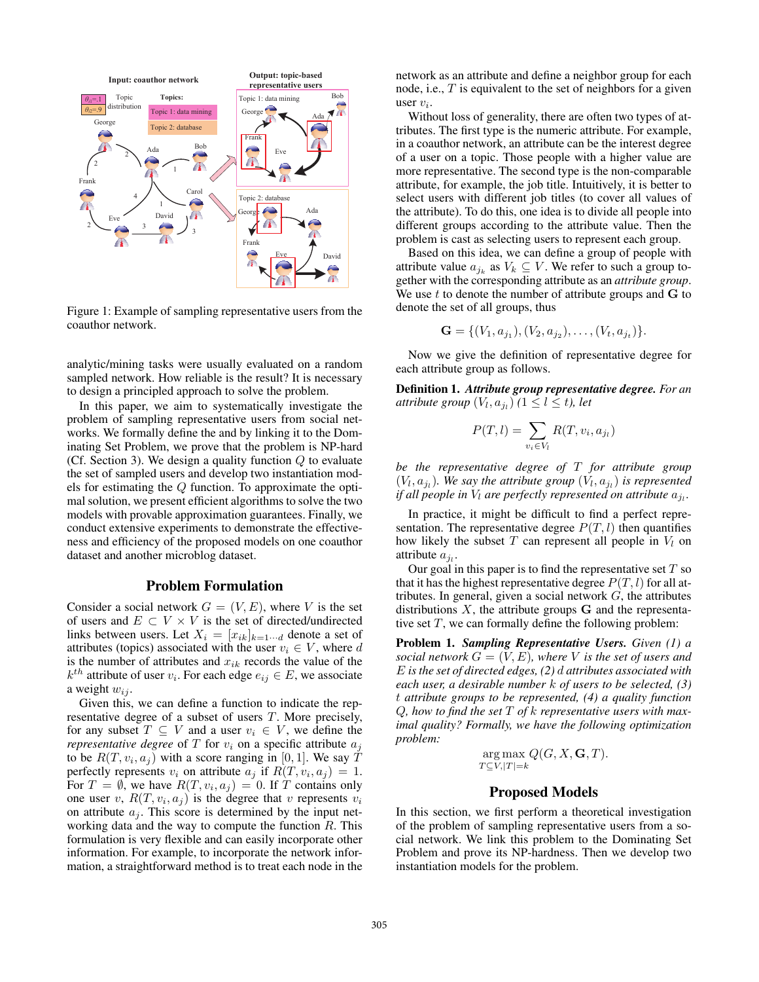

Figure 1: Example of sampling representative users from the coauthor network.

analytic/mining tasks were usually evaluated on a random sampled network. How reliable is the result? It is necessary to design a principled approach to solve the problem.

In this paper, we aim to systematically investigate the problem of sampling representative users from social networks. We formally define the and by linking it to the Dominating Set Problem, we prove that the problem is NP-hard (Cf. Section 3). We design a quality function  $Q$  to evaluate the set of sampled users and develop two instantiation models for estimating the Q function. To approximate the optimal solution, we present efficient algorithms to solve the two models with provable approximation guarantees. Finally, we conduct extensive experiments to demonstrate the effectiveness and efficiency of the proposed models on one coauthor dataset and another microblog dataset.

### Problem Formulation

Consider a social network  $G = (V, E)$ , where V is the set of users and  $E \subset V \times V$  is the set of directed/undirected links between users. Let  $X_i = [x_{ik}]_{k=1 \cdots d}$  denote a set of attributes (topics) associated with the user  $v_i \in V$ , where d is the number of attributes and  $x_{ik}$  records the value of the  $k^{th}$  attribute of user  $v_i$ . For each edge  $e_{ij} \in E$ , we associate a weight  $w_{ij}$ .

Given this, we can define a function to indicate the representative degree of a subset of users T. More precisely, for any subset  $T \subseteq V$  and a user  $v_i \in V$ , we define the *representative degree* of  $T$  for  $v_i$  on a specific attribute  $a_i$ to be  $R(T, v_i, a_j)$  with a score ranging in [0, 1]. We say T perfectly represents  $v_i$  on attribute  $a_j$  if  $R(T, v_i, a_j) = 1$ . For  $T = \emptyset$ , we have  $R(T, v_i, a_j) = 0$ . If T contains only one user v,  $R(T, v_i, a_j)$  is the degree that v represents  $v_i$ on attribute  $a_j$ . This score is determined by the input networking data and the way to compute the function  $R$ . This formulation is very flexible and can easily incorporate other information. For example, to incorporate the network information, a straightforward method is to treat each node in the network as an attribute and define a neighbor group for each node, i.e., T is equivalent to the set of neighbors for a given user  $v_i$ .

Without loss of generality, there are often two types of attributes. The first type is the numeric attribute. For example, in a coauthor network, an attribute can be the interest degree of a user on a topic. Those people with a higher value are more representative. The second type is the non-comparable attribute, for example, the job title. Intuitively, it is better to select users with different job titles (to cover all values of the attribute). To do this, one idea is to divide all people into different groups according to the attribute value. Then the problem is cast as selecting users to represent each group.

Based on this idea, we can define a group of people with attribute value  $a_{j_k}$  as  $V_k \subseteq V$ . We refer to such a group together with the corresponding attribute as an *attribute group*. We use  $t$  to denote the number of attribute groups and  **to** denote the set of all groups, thus

$$
\mathbf{G} = \{ (V_1, a_{j_1}), (V_2, a_{j_2}), \dots, (V_t, a_{j_t}) \}.
$$

Now we give the definition of representative degree for each attribute group as follows.

Definition 1. *Attribute group representative degree. For an attribute group*  $(V_l, a_{j_l})$   $(1 \leq l \leq t)$ , let

$$
P(T, l) = \sum_{v_i \in V_l} R(T, v_i, a_{j_l})
$$

*be the representative degree of* T *for attribute group*  $(V_l, a_{j_l})$ . We say the attribute group  $(V_l, a_{j_l})$  is represented *if all people in*  $V_l$  *are perfectly represented on attribute*  $a_{j_l}$ *.* 

In practice, it might be difficult to find a perfect representation. The representative degree  $P(T, l)$  then quantifies how likely the subset  $T$  can represent all people in  $V_l$  on attribute  $a_{j_l}$ .

Our goal in this paper is to find the representative set  $T$  so that it has the highest representative degree  $P(T, l)$  for all attributes. In general, given a social network  $G$ , the attributes distributions  $X$ , the attribute groups  $G$  and the representative set  $T$ , we can formally define the following problem:

Problem 1. *Sampling Representative Users. Given (1) a social network*  $G = (V, E)$ *, where* V *is the set of users and* E *is the set of directed edges, (2)* d *attributes associated with each user, a desirable number* k *of users to be selected, (3)* t *attribute groups to be represented, (4) a quality function* Q*, how to find the set* T *of* k *representative users with maximal quality? Formally, we have the following optimization problem:*

$$
\underset{T \subseteq V, |T| = k}{\arg \max} Q(G, X, \mathbf{G}, T).
$$

## Proposed Models

In this section, we first perform a theoretical investigation of the problem of sampling representative users from a social network. We link this problem to the Dominating Set Problem and prove its NP-hardness. Then we develop two instantiation models for the problem.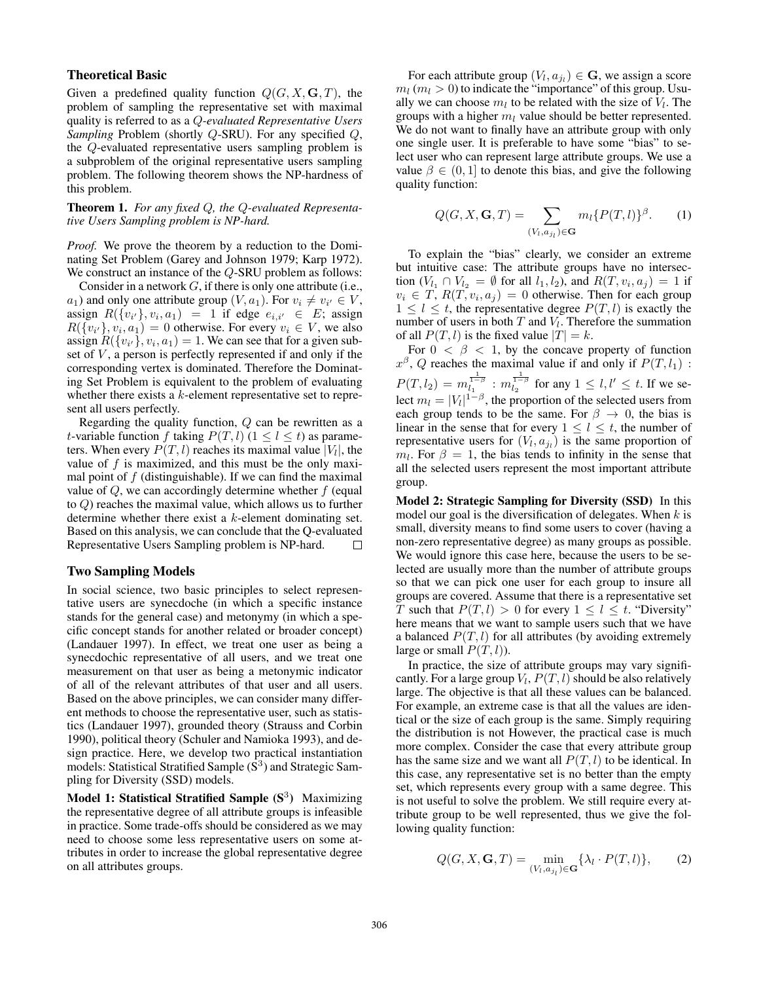### Theoretical Basic

Given a predefined quality function  $Q(G, X, \mathbf{G}, T)$ , the problem of sampling the representative set with maximal quality is referred to as a Q*-evaluated Representative Users Sampling* Problem (shortly Q-SRU). For any specified Q, the Q-evaluated representative users sampling problem is a subproblem of the original representative users sampling problem. The following theorem shows the NP-hardness of this problem.

### Theorem 1. *For any fixed* Q*, the* Q*-evaluated Representative Users Sampling problem is NP-hard.*

*Proof.* We prove the theorem by a reduction to the Dominating Set Problem (Garey and Johnson 1979; Karp 1972). We construct an instance of the Q-SRU problem as follows:

Consider in a network  $G$ , if there is only one attribute (i.e.,  $a_1$ ) and only one attribute group  $(V, a_1)$ . For  $v_i \neq v_{i'} \in V$ , assign  $R({v_{i'}}), v_i, a_1$  = 1 if edge  $e_{i,i'} \in E$ ; assign  $R({v_{i'}}, v_i, a_1) = 0$  otherwise. For every  $v_i \in V$ , we also assign  $R({v_i}, v_i, a_1) = 1$ . We can see that for a given subset of  $V$ , a person is perfectly represented if and only if the corresponding vertex is dominated. Therefore the Dominating Set Problem is equivalent to the problem of evaluating whether there exists a k-element representative set to represent all users perfectly.

Regarding the quality function,  $Q$  can be rewritten as a t-variable function f taking  $P(T, l)$  ( $1 \le l \le t$ ) as parameters. When every  $P(T, l)$  reaches its maximal value  $|V_l|$ , the value of  $f$  is maximized, and this must be the only maximal point of  $f$  (distinguishable). If we can find the maximal value of  $Q$ , we can accordingly determine whether  $f$  (equal to Q) reaches the maximal value, which allows us to further determine whether there exist a k-element dominating set. Based on this analysis, we can conclude that the Q-evaluated Representative Users Sampling problem is NP-hard.  $\Box$ 

### Two Sampling Models

In social science, two basic principles to select representative users are synecdoche (in which a specific instance stands for the general case) and metonymy (in which a specific concept stands for another related or broader concept) (Landauer 1997). In effect, we treat one user as being a synecdochic representative of all users, and we treat one measurement on that user as being a metonymic indicator of all of the relevant attributes of that user and all users. Based on the above principles, we can consider many different methods to choose the representative user, such as statistics (Landauer 1997), grounded theory (Strauss and Corbin 1990), political theory (Schuler and Namioka 1993), and design practice. Here, we develop two practical instantiation models: Statistical Stratified Sample  $(S<sup>3</sup>)$  and Strategic Sampling for Diversity (SSD) models.

Model 1: Statistical Stratified Sample  $(S^3)$  Maximizing the representative degree of all attribute groups is infeasible in practice. Some trade-offs should be considered as we may need to choose some less representative users on some attributes in order to increase the global representative degree on all attributes groups.

For each attribute group  $(V_l, a_{j_l}) \in \mathbf{G}$ , we assign a score  $m_l$  ( $m_l > 0$ ) to indicate the "importance" of this group. Usually we can choose  $m_l$  to be related with the size of  $V_l$ . The groups with a higher  $m_l$  value should be better represented. We do not want to finally have an attribute group with only one single user. It is preferable to have some "bias" to select user who can represent large attribute groups. We use a value  $\beta \in (0, 1]$  to denote this bias, and give the following quality function:

$$
Q(G, X, \mathbf{G}, T) = \sum_{(V_l, a_{j_l}) \in \mathbf{G}} m_l \{P(T, l)\}^{\beta}.
$$
 (1)

To explain the "bias" clearly, we consider an extreme but intuitive case: The attribute groups have no intersection  $(V_{l_1} \cap V_{l_2} = \emptyset$  for all  $l_1, l_2$ ), and  $R(T, v_i, a_j) = 1$  if  $v_i \in T$ ,  $R(T, v_i, a_j) = 0$  otherwise. Then for each group  $1 \leq l \leq t$ , the representative degree  $P(T, l)$  is exactly the number of users in both  $T$  and  $V_l$ . Therefore the summation of all  $P(T, l)$  is the fixed value  $|T| = k$ .

For  $0 < \beta < 1$ , by the concave property of function  $x^{\beta}$ , Q reaches the maximal value if and only if  $P(T, l_1)$ :  $P(T, l_2) = m_{l_1}^{\frac{1}{1-\beta}} : m_{l_2}^{\frac{1}{1-\beta}}$  for any  $1 \leq l, l' \leq t$ . If we select  $m_l = |V_l|^{1-\beta}$ , the proportion of the selected users from each group tends to be the same. For  $\beta \rightarrow 0$ , the bias is linear in the sense that for every  $1 \leq l \leq t$ , the number of representative users for  $(V_l, a_{j_l})$  is the same proportion of  $m_l$ . For  $\beta = 1$ , the bias tends to infinity in the sense that all the selected users represent the most important attribute group.

Model 2: Strategic Sampling for Diversity (SSD) In this model our goal is the diversification of delegates. When  $k$  is small, diversity means to find some users to cover (having a non-zero representative degree) as many groups as possible. We would ignore this case here, because the users to be selected are usually more than the number of attribute groups so that we can pick one user for each group to insure all groups are covered. Assume that there is a representative set T such that  $P(T, l) > 0$  for every  $1 \leq l \leq t$ . "Diversity" here means that we want to sample users such that we have a balanced  $P(T, l)$  for all attributes (by avoiding extremely large or small  $P(T, l)$ ).

In practice, the size of attribute groups may vary significantly. For a large group  $V_l$ ,  $P(T, l)$  should be also relatively large. The objective is that all these values can be balanced. For example, an extreme case is that all the values are identical or the size of each group is the same. Simply requiring the distribution is not However, the practical case is much more complex. Consider the case that every attribute group has the same size and we want all  $P(T, l)$  to be identical. In this case, any representative set is no better than the empty set, which represents every group with a same degree. This is not useful to solve the problem. We still require every attribute group to be well represented, thus we give the following quality function:

$$
Q(G, X, \mathbf{G}, T) = \min_{(V_i, a_{j_i}) \in \mathbf{G}} \{ \lambda_l \cdot P(T, l) \},
$$
 (2)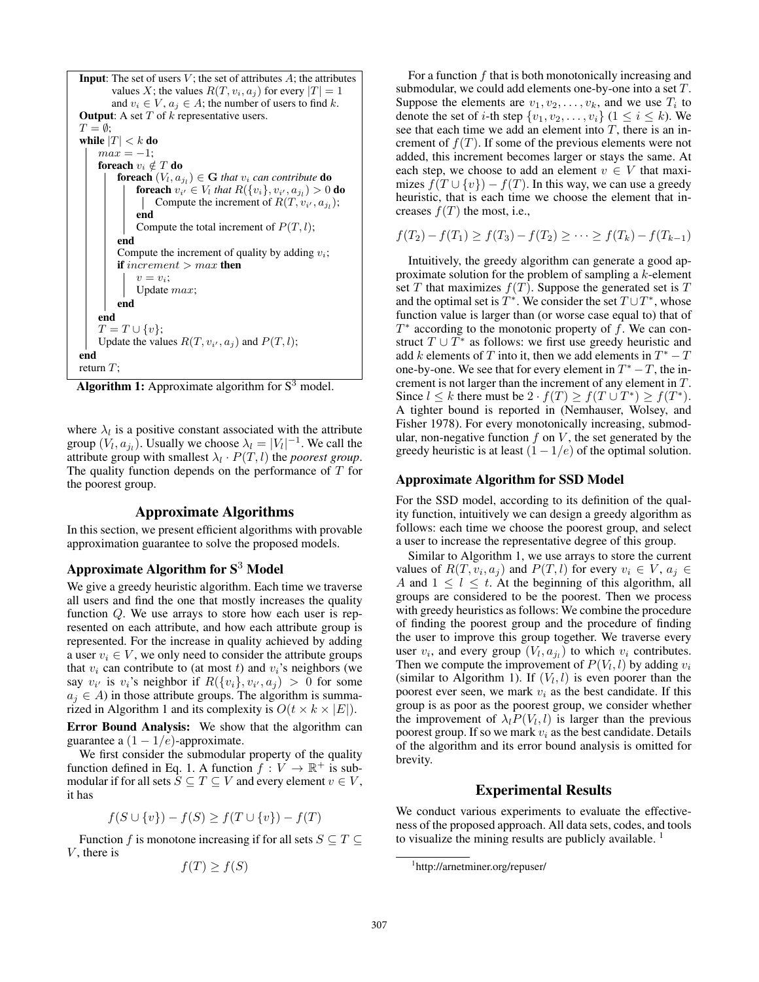```
Input: The set of users V; the set of attributes A; the attributes
        values X; the values R(T, v_i, a_i) for every |T| = 1and v_i \in V, a_j \in A; the number of users to find k.
Output: A set T of k representative users.
T = \emptyset:
while |T| < k do
    max = -1;
    foreach v_i \notin T do
         foreach (V_l, a_{j_l}) \in \mathbf{G} that v_i can contribute do
              foreach v_{i'} \in V_l that R(\{v_i\}, v_{i'}, a_{j_l}) > 0 do
                  Compute the increment of R(T, v_{i'}, a_{j_l});end
             Compute the total increment of P(T, l);
         end
         Compute the increment of quality by adding v_i;
         if increment > max then
             v = v_i;Update max;
         end
    end
    T = T \cup \{v\};Update the values R(T, v_{i'}, a_j) and P(T, l);
end
return T;
```
Algorithm 1: Approximate algorithm for  $S<sup>3</sup>$  model.

where  $\lambda_l$  is a positive constant associated with the attribute group  $(V_l, a_{j_l})$ . Usually we choose  $\lambda_l = |V_l|^{-1}$ . We call the attribute group with smallest  $\lambda_l \cdot P(T, l)$  the *poorest group*. The quality function depends on the performance of  $T$  for the poorest group.

### Approximate Algorithms

In this section, we present efficient algorithms with provable approximation guarantee to solve the proposed models.

# Approximate Algorithm for  $S<sup>3</sup>$  Model

We give a greedy heuristic algorithm. Each time we traverse all users and find the one that mostly increases the quality function Q. We use arrays to store how each user is represented on each attribute, and how each attribute group is represented. For the increase in quality achieved by adding a user  $v_i \in V$ , we only need to consider the attribute groups that  $v_i$  can contribute to (at most t) and  $v_i$ 's neighbors (we say  $v_{i'}$  is  $v_i$ 's neighbor if  $R({v_i}, v_{i'}, a_j) > 0$  for some  $a_j \in A$ ) in those attribute groups. The algorithm is summarized in Algorithm 1 and its complexity is  $O(t \times k \times |E|)$ .

Error Bound Analysis: We show that the algorithm can guarantee a  $(1 - 1/e)$ -approximate.

We first consider the submodular property of the quality function defined in Eq. 1. A function  $f: V \to \mathbb{R}^+$  is submodular if for all sets  $S \subseteq T \subseteq V$  and every element  $v \in V$ , it has

$$
f(S \cup \{v\}) - f(S) \ge f(T \cup \{v\}) - f(T)
$$

Function f is monotone increasing if for all sets  $S \subseteq T \subseteq$  $V$ , there is

$$
f(T) \ge f(S)
$$

For a function  $f$  that is both monotonically increasing and submodular, we could add elements one-by-one into a set T. Suppose the elements are  $v_1, v_2, \ldots, v_k$ , and we use  $T_i$  to denote the set of *i*-th step  $\{v_1, v_2, \ldots, v_i\}$  ( $1 \le i \le k$ ). We see that each time we add an element into  $T$ , there is an increment of  $f(T)$ . If some of the previous elements were not added, this increment becomes larger or stays the same. At each step, we choose to add an element  $v \in V$  that maximizes  $f(T \cup \{v\}) - f(T)$ . In this way, we can use a greedy heuristic, that is each time we choose the element that increases  $f(T)$  the most, i.e.,

$$
f(T_2) - f(T_1) \ge f(T_3) - f(T_2) \ge \cdots \ge f(T_k) - f(T_{k-1})
$$

Intuitively, the greedy algorithm can generate a good approximate solution for the problem of sampling a k-element set T that maximizes  $f(T)$ . Suppose the generated set is T and the optimal set is  $T^*$ . We consider the set  $T \cup T^*$ , whose function value is larger than (or worse case equal to) that of  $T^*$  according to the monotonic property of f. We can construct  $T \cup T^*$  as follows: we first use greedy heuristic and add k elements of T into it, then we add elements in  $T^* - T$ one-by-one. We see that for every element in  $T^* - T$ , the increment is not larger than the increment of any element in T. Since  $l \leq k$  there must be  $2 \cdot f(T) \geq f(T \cup T^*) \geq f(T^*)$ . A tighter bound is reported in (Nemhauser, Wolsey, and Fisher 1978). For every monotonically increasing, submodular, non-negative function  $f$  on  $V$ , the set generated by the greedy heuristic is at least  $(1 - 1/e)$  of the optimal solution.

#### Approximate Algorithm for SSD Model

For the SSD model, according to its definition of the quality function, intuitively we can design a greedy algorithm as follows: each time we choose the poorest group, and select a user to increase the representative degree of this group.

Similar to Algorithm 1, we use arrays to store the current values of  $R(T, v_i, a_j)$  and  $P(T, l)$  for every  $v_i \in V$ ,  $a_j \in$ A and  $1 \leq l \leq t$ . At the beginning of this algorithm, all groups are considered to be the poorest. Then we process with greedy heuristics as follows: We combine the procedure of finding the poorest group and the procedure of finding the user to improve this group together. We traverse every user  $v_i$ , and every group  $(V_l, a_{j_l})$  to which  $v_i$  contributes. Then we compute the improvement of  $P(V_l, l)$  by adding  $v_i$ (similar to Algorithm 1). If  $(V_l, l)$  is even poorer than the poorest ever seen, we mark  $v_i$  as the best candidate. If this group is as poor as the poorest group, we consider whether the improvement of  $\lambda_l P(V_l, l)$  is larger than the previous poorest group. If so we mark  $v_i$  as the best candidate. Details of the algorithm and its error bound analysis is omitted for brevity.

## Experimental Results

We conduct various experiments to evaluate the effectiveness of the proposed approach. All data sets, codes, and tools to visualize the mining results are publicly available.  $<sup>1</sup>$ </sup>

<sup>1</sup> http://arnetminer.org/repuser/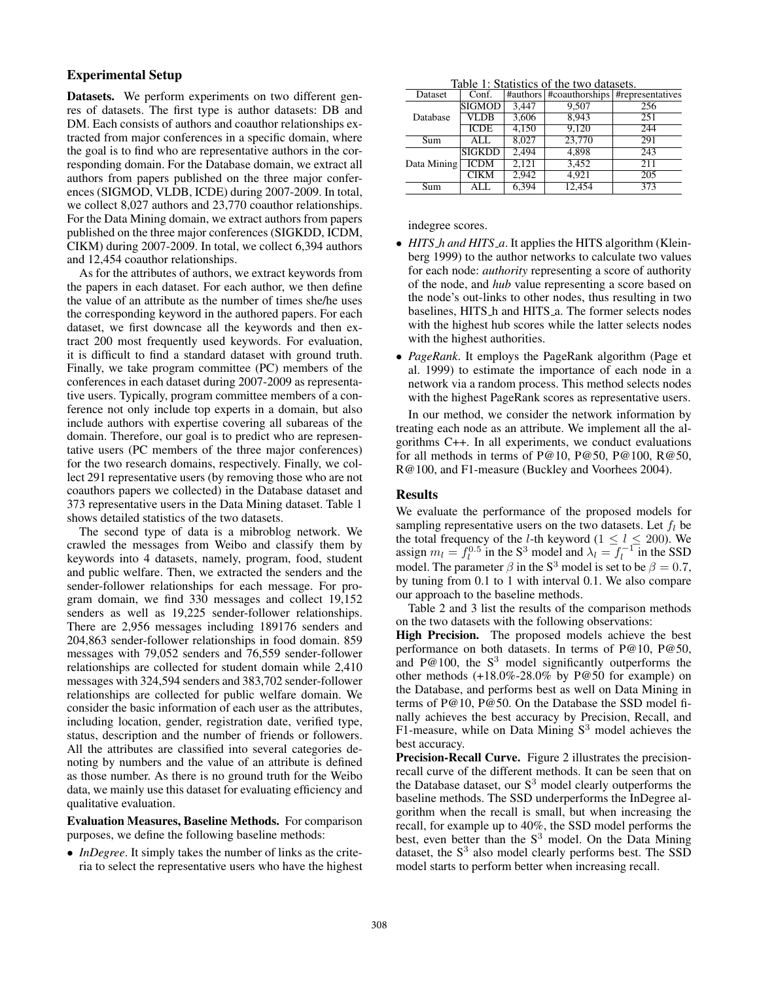## Experimental Setup

Datasets. We perform experiments on two different genres of datasets. The first type is author datasets: DB and DM. Each consists of authors and coauthor relationships extracted from major conferences in a specific domain, where the goal is to find who are representative authors in the corresponding domain. For the Database domain, we extract all authors from papers published on the three major conferences (SIGMOD, VLDB, ICDE) during 2007-2009. In total, we collect 8,027 authors and 23,770 coauthor relationships. For the Data Mining domain, we extract authors from papers published on the three major conferences (SIGKDD, ICDM, CIKM) during 2007-2009. In total, we collect 6,394 authors and 12,454 coauthor relationships.

As for the attributes of authors, we extract keywords from the papers in each dataset. For each author, we then define the value of an attribute as the number of times she/he uses the corresponding keyword in the authored papers. For each dataset, we first downcase all the keywords and then extract 200 most frequently used keywords. For evaluation, it is difficult to find a standard dataset with ground truth. Finally, we take program committee (PC) members of the conferences in each dataset during 2007-2009 as representative users. Typically, program committee members of a conference not only include top experts in a domain, but also include authors with expertise covering all subareas of the domain. Therefore, our goal is to predict who are representative users (PC members of the three major conferences) for the two research domains, respectively. Finally, we collect 291 representative users (by removing those who are not coauthors papers we collected) in the Database dataset and 373 representative users in the Data Mining dataset. Table 1 shows detailed statistics of the two datasets.

The second type of data is a mibroblog network. We crawled the messages from Weibo and classify them by keywords into 4 datasets, namely, program, food, student and public welfare. Then, we extracted the senders and the sender-follower relationships for each message. For program domain, we find 330 messages and collect 19,152 senders as well as 19,225 sender-follower relationships. There are 2,956 messages including 189176 senders and 204,863 sender-follower relationships in food domain. 859 messages with 79,052 senders and 76,559 sender-follower relationships are collected for student domain while 2,410 messages with 324,594 senders and 383,702 sender-follower relationships are collected for public welfare domain. We consider the basic information of each user as the attributes, including location, gender, registration date, verified type, status, description and the number of friends or followers. All the attributes are classified into several categories denoting by numbers and the value of an attribute is defined as those number. As there is no ground truth for the Weibo data, we mainly use this dataset for evaluating efficiency and qualitative evaluation.

Evaluation Measures, Baseline Methods. For comparison purposes, we define the following baseline methods:

• *InDegree*. It simply takes the number of links as the criteria to select the representative users who have the highest

| Table 1: Statistics of the two datasets. |  |
|------------------------------------------|--|
|                                          |  |

| Tuble 1. Buildered of the two dutublis. |               |       |        |                                              |  |  |
|-----------------------------------------|---------------|-------|--------|----------------------------------------------|--|--|
| Dataset                                 | Conf.         |       |        | #authors   #coauthorships   #representatives |  |  |
|                                         | <b>SIGMOD</b> | 3,447 | 9,507  | 256                                          |  |  |
| Database                                | VLDB          | 3,606 | 8.943  | 251                                          |  |  |
|                                         | <b>ICDE</b>   | 4,150 | 9,120  | 244                                          |  |  |
| Sum                                     | ALL           | 8.027 | 23,770 | 291                                          |  |  |
| Data Mining                             | <b>SIGKDD</b> | 2,494 | 4,898  | 243                                          |  |  |
|                                         | <b>ICDM</b>   | 2.121 | 3,452  | 211                                          |  |  |
|                                         | <b>CIKM</b>   | 2.942 | 4.921  | $\overline{205}$                             |  |  |
| Sum                                     | <b>ALL</b>    | 6.394 | 12.454 | 373                                          |  |  |

### indegree scores.

- *HITS h and HITS a*. It applies the HITS algorithm (Kleinberg 1999) to the author networks to calculate two values for each node: *authority* representing a score of authority of the node, and *hub* value representing a score based on the node's out-links to other nodes, thus resulting in two baselines, HITS\_h and HITS\_a. The former selects nodes with the highest hub scores while the latter selects nodes with the highest authorities.
- *PageRank*. It employs the PageRank algorithm (Page et al. 1999) to estimate the importance of each node in a network via a random process. This method selects nodes with the highest PageRank scores as representative users.

In our method, we consider the network information by treating each node as an attribute. We implement all the algorithms C++. In all experiments, we conduct evaluations for all methods in terms of P@10, P@50, P@100, R@50, R@100, and F1-measure (Buckley and Voorhees 2004).

### Results

We evaluate the performance of the proposed models for sampling representative users on the two datasets. Let  $f_l$  be the total frequency of the *l*-th keyword ( $1 \le l \le 200$ ). We assign  $m_l = f_l^{0.5}$  in the S<sup>3</sup> model and  $\lambda_l = f_l^{-1}$  in the SSD model. The parameter  $\beta$  in the S<sup>3</sup> model is set to be  $\beta = 0.7$ , by tuning from 0.1 to 1 with interval 0.1. We also compare our approach to the baseline methods.

Table 2 and 3 list the results of the comparison methods on the two datasets with the following observations:

High Precision. The proposed models achieve the best performance on both datasets. In terms of P@10, P@50, and P@100, the  $S<sup>3</sup>$  model significantly outperforms the other methods (+18.0%-28.0% by P@50 for example) on the Database, and performs best as well on Data Mining in terms of P@10, P@50. On the Database the SSD model finally achieves the best accuracy by Precision, Recall, and F1-measure, while on Data Mining  $S<sup>3</sup>$  model achieves the best accuracy.

Precision-Recall Curve. Figure 2 illustrates the precisionrecall curve of the different methods. It can be seen that on the Database dataset, our  $S<sup>3</sup>$  model clearly outperforms the baseline methods. The SSD underperforms the InDegree algorithm when the recall is small, but when increasing the recall, for example up to 40%, the SSD model performs the best, even better than the  $S<sup>3</sup>$  model. On the Data Mining dataset, the  $S<sup>3</sup>$  also model clearly performs best. The SSD model starts to perform better when increasing recall.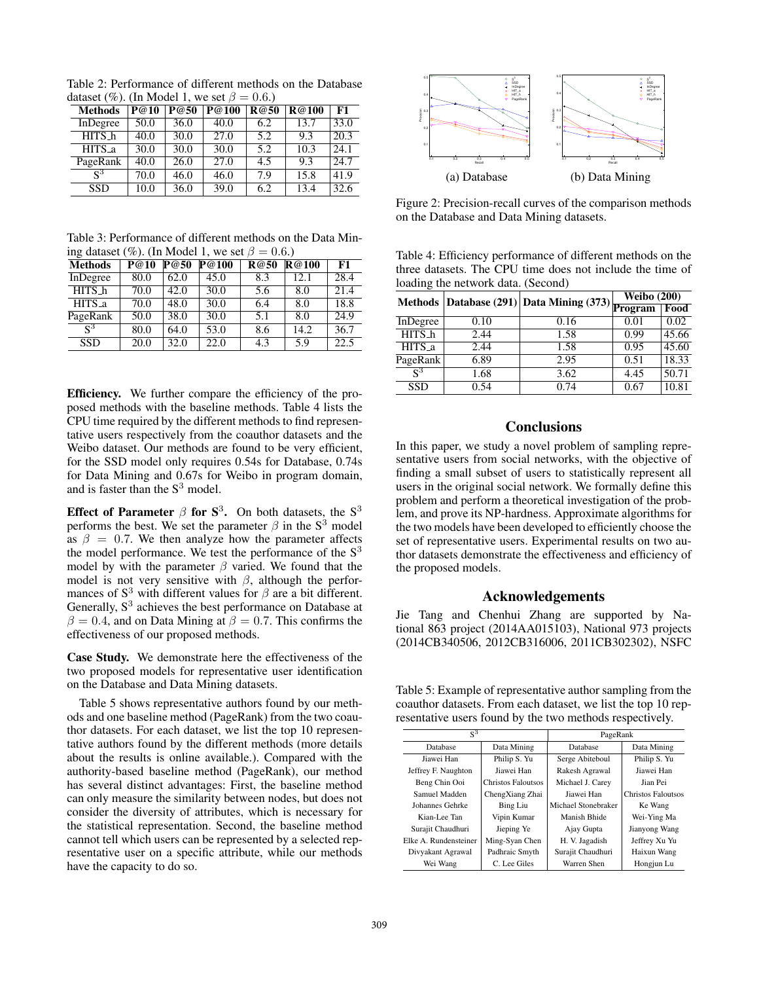Table 2: Performance of different methods on the Database dataset (%). (In Model 1, we set  $\beta = 0.6$ .)

| <b>Methods</b>                  | $\overline{P@}10$ | P@50 | $\overline{P@}100$ | R@50 | <b>R@100</b> | F1                |
|---------------------------------|-------------------|------|--------------------|------|--------------|-------------------|
| InDegree                        | 50.0              | 36.0 | 40.0               | 6.2  | 13.7         | 33.0              |
| $HITS_h$                        | 40.0              | 30.0 | 27.0               | 5.2  | 9.3          | 20.3              |
| $\overline{HITS}$ <sub>-a</sub> | 30.0              | 30.0 | 30.0               | 5.2  | 10.3         | 24.1              |
| PageRank                        | 40.0              | 26.0 | 27.0               | 4.5  | 9.3          | 24.7              |
| $S^3$                           | 70.0              | 46.0 | 46.0               | 7.9  | 15.8         | 41.9              |
| <b>SSD</b>                      | 10.0              | 36.0 | 39.0               | 6.2  | 13.4         | $\overline{32.6}$ |

Table 3: Performance of different methods on the Data Mining dataset (%). (In Model 1, we set  $\beta = 0.6$ .)

| <b>Methods</b>     | P@10 | P@50 | P@100 | <b>R@50</b> | R@100 | F1                |
|--------------------|------|------|-------|-------------|-------|-------------------|
| InDegree           | 80.0 | 62.0 | 45.0  | 8.3         | 12.1  | 28.4              |
| HITS_h             | 70.0 | 42.0 | 30.0  | 5.6         | 8.0   | 21.4              |
| HITS <sub>-a</sub> | 70.0 | 48.0 | 30.0  | 6.4         | 8.0   | 18.8              |
| PageRank           | 50.0 | 38.0 | 30.0  | 5.1         | 8.0   | $\overline{24.9}$ |
| $\mathbf{c}^3$     | 80.0 | 64.0 | 53.0  | 8.6         | 14.2  | 36.7              |
| <b>SSD</b>         | 20.0 | 32.0 | 22.0  | 4.3         | 5.9   | $\overline{22.5}$ |

Efficiency. We further compare the efficiency of the proposed methods with the baseline methods. Table 4 lists the CPU time required by the different methods to find representative users respectively from the coauthor datasets and the Weibo dataset. Our methods are found to be very efficient, for the SSD model only requires 0.54s for Database, 0.74s for Data Mining and 0.67s for Weibo in program domain, and is faster than the  $S<sup>3</sup>$  model.

Effect of Parameter  $\beta$  for  $S^3$ . On both datasets, the  $S^3$ performs the best. We set the parameter  $\beta$  in the S<sup>3</sup> model as  $\beta = 0.7$ . We then analyze how the parameter affects the model performance. We test the performance of the  $S<sup>3</sup>$ model by with the parameter  $\beta$  varied. We found that the model is not very sensitive with  $\beta$ , although the performances of  $S<sup>3</sup>$  with different values for  $\beta$  are a bit different. Generally,  $S<sup>3</sup>$  achieves the best performance on Database at  $\beta = 0.4$ , and on Data Mining at  $\beta = 0.7$ . This confirms the effectiveness of our proposed methods.

Case Study. We demonstrate here the effectiveness of the two proposed models for representative user identification on the Database and Data Mining datasets.

Table 5 shows representative authors found by our methods and one baseline method (PageRank) from the two coauthor datasets. For each dataset, we list the top 10 representative authors found by the different methods (more details about the results is online available.). Compared with the authority-based baseline method (PageRank), our method has several distinct advantages: First, the baseline method can only measure the similarity between nodes, but does not consider the diversity of attributes, which is necessary for the statistical representation. Second, the baseline method cannot tell which users can be represented by a selected representative user on a specific attribute, while our methods have the capacity to do so.



Figure 2: Precision-recall curves of the comparison methods on the Database and Data Mining datasets.

Table 4: Efficiency performance of different methods on the three datasets. The CPU time does not include the time of loading the network data. (Second)

|            |      | Methods Database (291) Data Mining (373) Program | $\overline{\text{Weibo}}$ (200) |       |
|------------|------|--------------------------------------------------|---------------------------------|-------|
|            |      |                                                  |                                 | Food  |
| InDegree   | 0.10 | 0.16                                             | 0.01                            | 0.02  |
| HITS_h     | 2.44 | 1.58                                             | 0.99                            | 45.66 |
| HITS_a     | 2.44 | 1.58                                             | 0.95                            | 45.60 |
| PageRank   | 6.89 | 2.95                                             | 0.51                            | 18.33 |
| $S^3$      | 1.68 | 3.62                                             | 4.45                            | 50.71 |
| <b>SSD</b> | 0.54 | 0.74                                             | 0.67                            | 10.81 |

## **Conclusions**

In this paper, we study a novel problem of sampling representative users from social networks, with the objective of finding a small subset of users to statistically represent all users in the original social network. We formally define this problem and perform a theoretical investigation of the problem, and prove its NP-hardness. Approximate algorithms for the two models have been developed to efficiently choose the set of representative users. Experimental results on two author datasets demonstrate the effectiveness and efficiency of the proposed models.

### Acknowledgements

Jie Tang and Chenhui Zhang are supported by National 863 project (2014AA015103), National 973 projects (2014CB340506, 2012CB316006, 2011CB302302), NSFC

Table 5: Example of representative author sampling from the coauthor datasets. From each dataset, we list the top 10 representative users found by the two methods respectively.

| $S^3$                 |                    | PageRank            |                    |  |
|-----------------------|--------------------|---------------------|--------------------|--|
| Database              | Data Mining        | Database            | Data Mining        |  |
| Jiawei Han            | Philip S. Yu       | Serge Abiteboul     | Philip S. Yu       |  |
| Jeffrey F. Naughton   | Jiawei Han         | Rakesh Agrawal      | Jiawei Han         |  |
| Beng Chin Ooi         | Christos Faloutsos | Michael J. Carey    | Jian Pei           |  |
| Samuel Madden         | ChengXiang Zhai    | Jiawei Han          | Christos Faloutsos |  |
| Johannes Gehrke       | <b>Bing Liu</b>    | Michael Stonebraker | Ke Wang            |  |
| Kian-Lee Tan          | Vipin Kumar        | Manish Bhide        | Wei-Ying Ma        |  |
| Surajit Chaudhuri     | Jieping Ye         | Ajay Gupta          | Jianyong Wang      |  |
| Elke A. Rundensteiner | Ming-Syan Chen     | H. V. Jagadish      | Jeffrey Xu Yu      |  |
| Divyakant Agrawal     | Padhraic Smyth     | Surajit Chaudhuri   | Haixun Wang        |  |
| Wei Wang              | C. Lee Giles       | Warren Shen         | Hongjun Lu         |  |